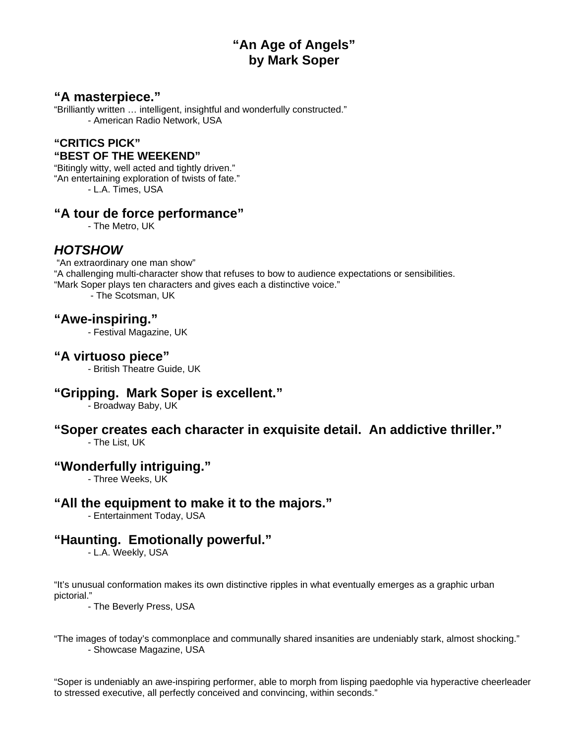# **"An Age of Angels" by Mark Soper**

## **"A masterpiece."**

"Brilliantly written … intelligent, insightful and wonderfully constructed." - American Radio Network, USA

#### **"CRITICS PICK" "BEST OF THE WEEKEND"**

"Bitingly witty, well acted and tightly driven." "An entertaining exploration of twists of fate." - L.A. Times, USA

#### **"A tour de force performance"**

- The Metro, UK

## *HOTSHOW*

 "An extraordinary one man show" "A challenging multi-character show that refuses to bow to audience expectations or sensibilities. "Mark Soper plays ten characters and gives each a distinctive voice." - The Scotsman, UK

## **"Awe-inspiring."**

- Festival Magazine, UK

#### **"A virtuoso piece"**

- British Theatre Guide, UK

#### **"Gripping. Mark Soper is excellent."**

- Broadway Baby, UK

# **"Soper creates each character in exquisite detail. An addictive thriller."**

- The List, UK

# **"Wonderfully intriguing."**

- Three Weeks, UK

# **"All the equipment to make it to the majors."**

- Entertainment Today, USA

# **"Haunting. Emotionally powerful."**

- L.A. Weekly, USA

"It's unusual conformation makes its own distinctive ripples in what eventually emerges as a graphic urban pictorial."

- The Beverly Press, USA

"The images of today's commonplace and communally shared insanities are undeniably stark, almost shocking." - Showcase Magazine, USA

"Soper is undeniably an awe-inspiring performer, able to morph from lisping paedophle via hyperactive cheerleader to stressed executive, all perfectly conceived and convincing, within seconds."